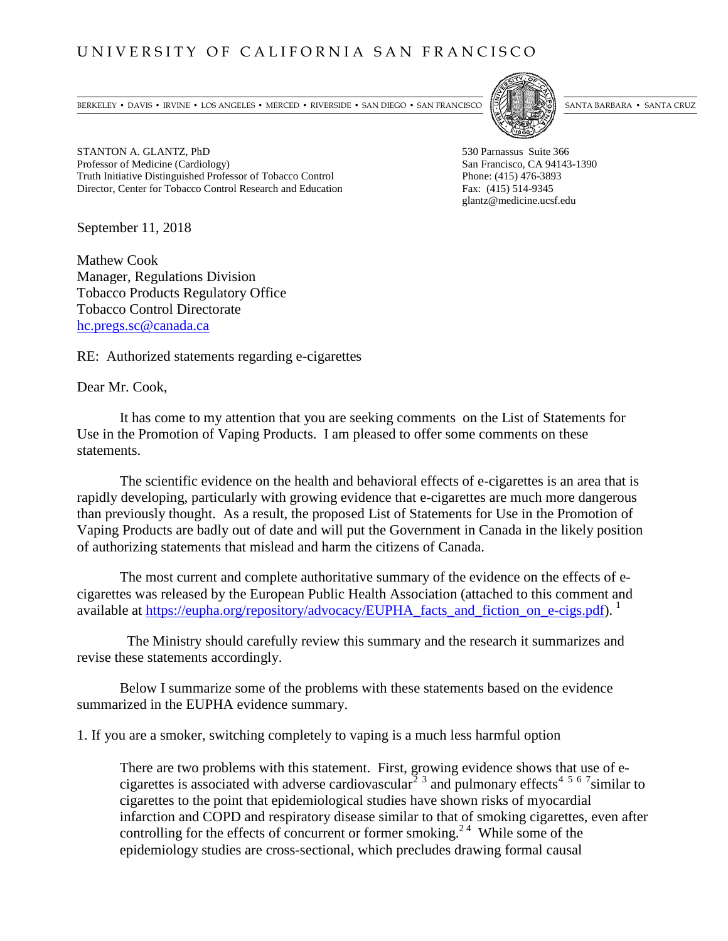## UNIVERSITY OF CALIFORNIA SAN FRANCISCO

BERKELEY • DAVIS • IRVINE • LOS ANGELES • MERCED • RIVERSIDE • SAN DIEGO • SAN FRANCISCO [57]



STANTON A. GLANTZ, PhD<br>
Professor of Medicine (Cardiology) The Same Suite 366 San Francisco, CA 94143-1390 Professor of Medicine (Cardiology) Truth Initiative Distinguished Professor of Tobacco Control Phone: (415) 476-3893 Director, Center for Tobacco Control Research and Education Fax: (415) 514-9345

glantz@medicine.ucsf.edu

September 11, 2018

Mathew Cook Manager, Regulations Division Tobacco Products Regulatory Office Tobacco Control Directorate [hc.pregs.sc@canada.ca](mailto:hc.pregs.sc@canada.ca)

RE: Authorized statements regarding e-cigarettes

Dear Mr. Cook,

It has come to my attention that you are seeking comments on the List of Statements for Use in the Promotion of Vaping Products. I am pleased to offer some comments on these statements.

The scientific evidence on the health and behavioral effects of e-cigarettes is an area that is rapidly developing, particularly with growing evidence that e-cigarettes are much more dangerous than previously thought. As a result, the proposed List of Statements for Use in the Promotion of Vaping Products are badly out of date and will put the Government in Canada in the likely position of authorizing statements that mislead and harm the citizens of Canada.

The most current and complete authoritative summary of the evidence on the effects of ecigarettes was released by the European Public Health Association (attached to this comment and available at <u>https://eupha.org/repository/advocacy/EUPHA</u>\_facts\_and\_fiction\_on\_e-cigs.pdf). <sup>[1](#page-3-0)</sup>

 The Ministry should carefully review this summary and the research it summarizes and revise these statements accordingly.

Below I summarize some of the problems with these statements based on the evidence summarized in the EUPHA evidence summary.

1. If you are a smoker, switching completely to vaping is a much less harmful option

There are two problems with this statement. First, growing evidence shows that use of e-cigarettes is associated with adverse cardiovascular<sup>[2](#page-3-1)</sup>  $\frac{3}{3}$  $\frac{3}{3}$  $\frac{3}{3}$  and pulmonary effects<sup>[4](#page-3-3)[5](#page-3-4)[6](#page-3-5)[7](#page-3-6)</sup> similar to cigarettes to the point that epidemiological studies have shown risks of myocardial infarction and COPD and respiratory disease similar to that of smoking cigarettes, even after controlling for the effects of concurrent or former smoking.<sup>24</sup> While some of the epidemiology studies are cross-sectional, which precludes drawing formal causal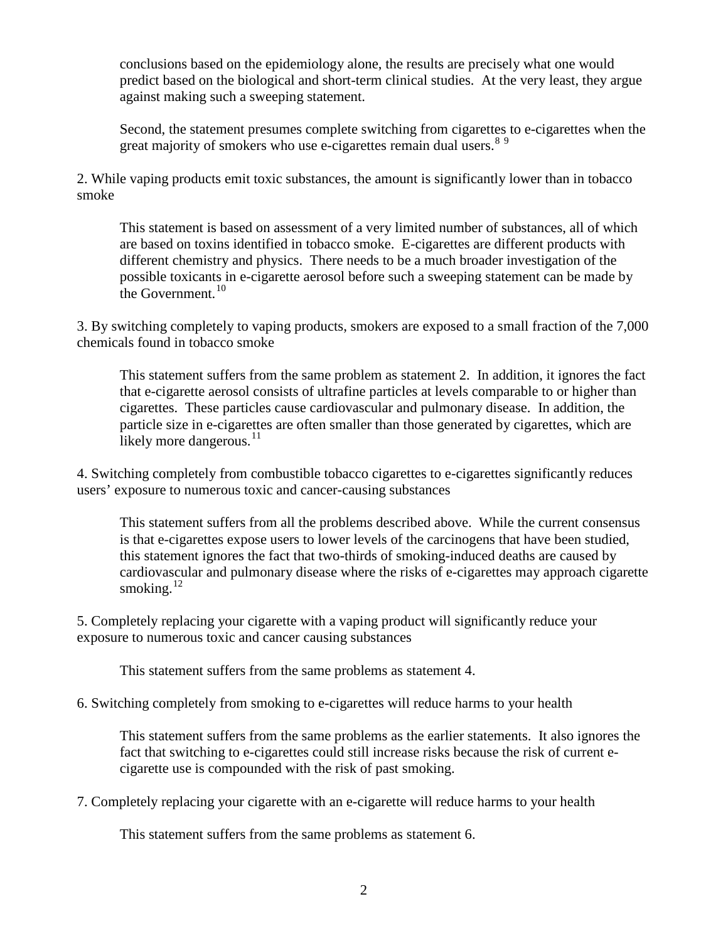conclusions based on the epidemiology alone, the results are precisely what one would predict based on the biological and short-term clinical studies. At the very least, they argue against making such a sweeping statement.

Second, the statement presumes complete switching from cigarettes to e-cigarettes when the great majority of smokers who use e-cigarettes remain dual users.<sup>[8](#page-4-0)[9](#page-4-1)</sup>

2. While vaping products emit toxic substances, the amount is significantly lower than in tobacco smoke

This statement is based on assessment of a very limited number of substances, all of which are based on toxins identified in tobacco smoke. E-cigarettes are different products with different chemistry and physics. There needs to be a much broader investigation of the possible toxicants in e-cigarette aerosol before such a sweeping statement can be made by the Government.<sup>[10](#page-4-2)</sup>

3. By switching completely to vaping products, smokers are exposed to a small fraction of the 7,000 chemicals found in tobacco smoke

This statement suffers from the same problem as statement 2. In addition, it ignores the fact that e-cigarette aerosol consists of ultrafine particles at levels comparable to or higher than cigarettes. These particles cause cardiovascular and pulmonary disease. In addition, the particle size in e-cigarettes are often smaller than those generated by cigarettes, which are likely more dangerous. $^{11}$  $^{11}$  $^{11}$ 

4. Switching completely from combustible tobacco cigarettes to e-cigarettes significantly reduces users' exposure to numerous toxic and cancer-causing substances

This statement suffers from all the problems described above. While the current consensus is that e-cigarettes expose users to lower levels of the carcinogens that have been studied, this statement ignores the fact that two-thirds of smoking-induced deaths are caused by cardiovascular and pulmonary disease where the risks of e-cigarettes may approach cigarette smoking. $^{12}$  $^{12}$  $^{12}$ 

5. Completely replacing your cigarette with a vaping product will significantly reduce your exposure to numerous toxic and cancer causing substances

This statement suffers from the same problems as statement 4.

6. Switching completely from smoking to e-cigarettes will reduce harms to your health

This statement suffers from the same problems as the earlier statements. It also ignores the fact that switching to e-cigarettes could still increase risks because the risk of current ecigarette use is compounded with the risk of past smoking.

7. Completely replacing your cigarette with an e-cigarette will reduce harms to your health

This statement suffers from the same problems as statement 6.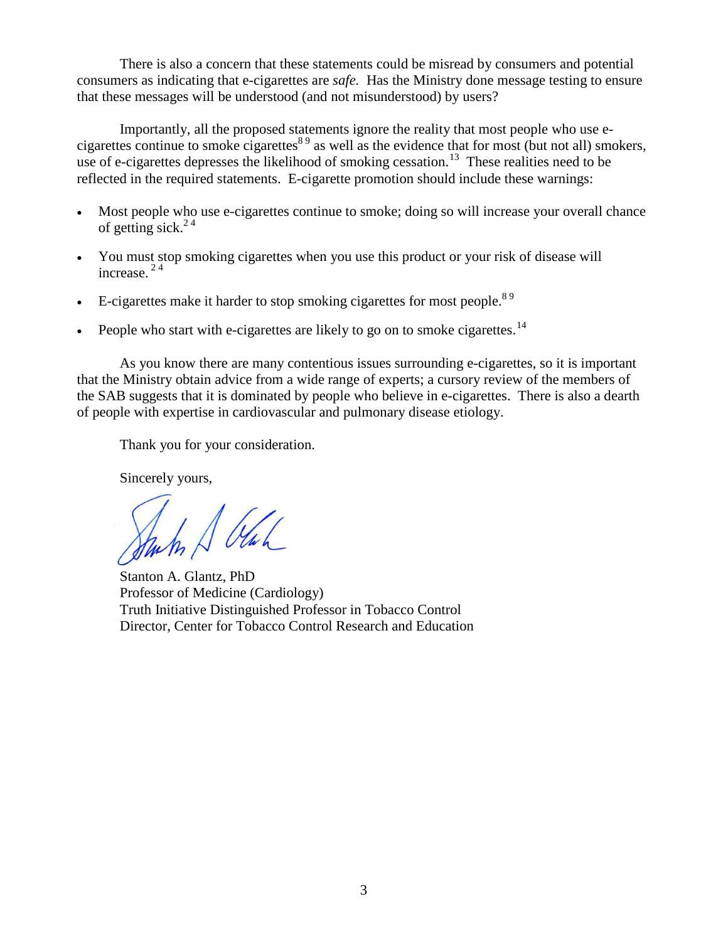There is also a concern that these statements could be misread by consumers and potential consumers as indicating that e-cigarettes are *safe.* Has the Ministry done message testing to ensure that these messages will be understood (and not misunderstood) by users?

Importantly, all the proposed statements ignore the reality that most people who use ecigarettes continue to smoke cigarettes<sup>89</sup> as well as the evidence that for most (but not all) smokers, use of e-cigarettes depresses the likelihood of smoking cessation.<sup>[13](#page-4-5)</sup> These realities need to be reflected in the required statements. E-cigarette promotion should include these warnings:

- Most people who use e-cigarettes continue to smoke; doing so will increase your overall chance of getting sick. $2<sup>4</sup>$
- You must stop smoking cigarettes when you use this product or your risk of disease will increase. 2 4
- $\bullet$  E-cigarettes make it harder to stop smoking cigarettes for most people.<sup>89</sup>
- People who start with e-cigarettes are likely to go on to smoke cigarettes.<sup>[14](#page-4-6)</sup>

As you know there are many contentious issues surrounding e-cigarettes, so it is important that the Ministry obtain advice from a wide range of experts; a cursory review of the members of the SAB suggests that it is dominated by people who believe in e-cigarettes. There is also a dearth of people with expertise in cardiovascular and pulmonary disease etiology.

Thank you for your consideration.

Sincerely yours,

In A Oul

 Stanton A. Glantz, PhD Professor of Medicine (Cardiology) Truth Initiative Distinguished Professor in Tobacco Control Director, Center for Tobacco Control Research and Education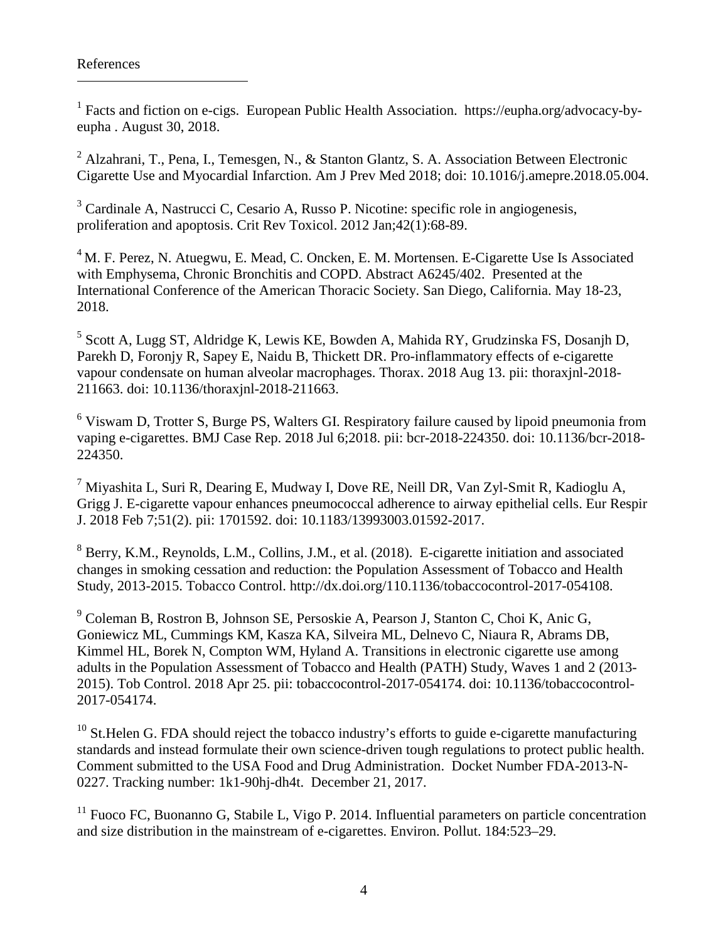$\overline{a}$ 

<span id="page-3-0"></span><sup>1</sup> Facts and fiction on e-cigs. European Public Health Association. https://eupha.org/advocacy-byeupha . August 30, 2018.

<span id="page-3-1"></span><sup>2</sup> Alzahrani, T., Pena, I., Temesgen, N., & Stanton Glantz, S. A. Association Between Electronic Cigarette Use and Myocardial Infarction. Am J Prev Med 2018; doi: 10.1016/j.amepre.2018.05.004.

<span id="page-3-2"></span><sup>3</sup> Cardinale A, Nastrucci C, Cesario A, Russo P. Nicotine: specific role in angiogenesis, proliferation and apoptosis. Crit Rev Toxicol. 2012 Jan;42(1):68-89.

<span id="page-3-3"></span><sup>4</sup> M. F. Perez, N. Atuegwu, E. Mead, C. Oncken, E. M. Mortensen. E-Cigarette Use Is Associated with Emphysema, Chronic Bronchitis and COPD. Abstract A6245/402. Presented at the International Conference of the American Thoracic Society. San Diego, California. May 18-23, 2018.

<span id="page-3-4"></span><sup>5</sup> Scott A, Lugg ST, Aldridge K, Lewis KE, Bowden A, Mahida RY, Grudzinska FS, Dosanjh D, Parekh D, Foronjy R, Sapey E, Naidu B, Thickett DR. Pro-inflammatory effects of e-cigarette vapour condensate on human alveolar macrophages. Thorax. 2018 Aug 13. pii: thoraxjnl-2018- 211663. doi: 10.1136/thoraxjnl-2018-211663.

<span id="page-3-5"></span><sup>6</sup> Viswam D, Trotter S, Burge PS, Walters GI. Respiratory failure caused by lipoid pneumonia from vaping e-cigarettes. BMJ Case Rep. 2018 Jul 6;2018. pii: bcr-2018-224350. doi: 10.1136/bcr-2018- 224350.

<span id="page-3-6"></span><sup>7</sup> Miyashita L, Suri R, Dearing E, Mudway I, Dove RE, Neill DR, Van Zyl-Smit R, Kadioglu A, Grigg J. E-cigarette vapour enhances pneumococcal adherence to airway epithelial cells. Eur Respir J. 2018 Feb 7;51(2). pii: 1701592. doi: 10.1183/13993003.01592-2017.

<sup>8</sup> Berry, K.M., Reynolds, L.M., Collins, J.M., et al. (2018). E-cigarette initiation and associated changes in smoking cessation and reduction: the Population Assessment of Tobacco and Health Study, 2013-2015. Tobacco Control. [http://dx.doi.org/110.1136/tobaccocontrol-2017-054108.](http://dx.doi.org/110.1136/tobaccocontrol-2017-054108)

<sup>9</sup> Coleman B, Rostron B, Johnson SE, Persoskie A, Pearson J, Stanton C, Choi K, Anic G, Goniewicz ML, Cummings KM, Kasza KA, Silveira ML, Delnevo C, Niaura R, Abrams DB, Kimmel HL, Borek N, Compton WM, Hyland A. Transitions in electronic cigarette use among adults in the Population Assessment of Tobacco and Health (PATH) Study, Waves 1 and 2 (2013- 2015). Tob Control. 2018 Apr 25. pii: tobaccocontrol-2017-054174. doi: 10.1136/tobaccocontrol-2017-054174.

 $10$  St. Helen G. FDA should reject the tobacco industry's efforts to guide e-cigarette manufacturing standards and instead formulate their own science-driven tough regulations to protect public health. Comment submitted to the USA Food and Drug Administration. Docket Number FDA-2013-N-0227. Tracking number: 1k1-90hj-dh4t. December 21, 2017.

 $11$  Fuoco FC, Buonanno G, Stabile L, Vigo P. 2014. Influential parameters on particle concentration and size distribution in the mainstream of e-cigarettes. Environ. Pollut. 184:523–29.